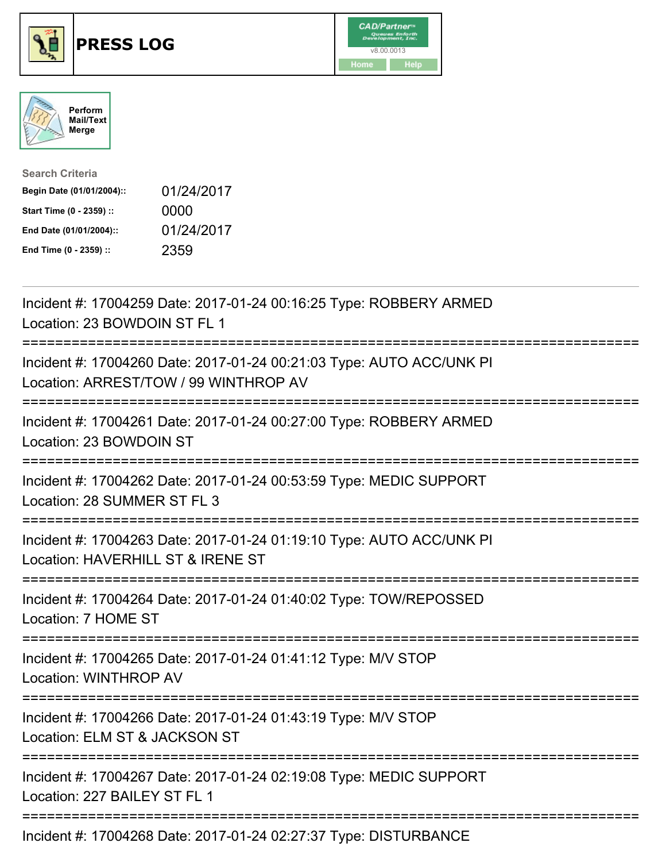





| <b>Search Criteria</b>    |            |
|---------------------------|------------|
| Begin Date (01/01/2004):: | 01/24/2017 |
| Start Time (0 - 2359) ::  | 0000       |
| End Date (01/01/2004)::   | 01/24/2017 |
| End Time (0 - 2359) ::    | 2359       |

| Incident #: 17004259 Date: 2017-01-24 00:16:25 Type: ROBBERY ARMED<br>Location: 23 BOWDOIN ST FL 1                                  |
|-------------------------------------------------------------------------------------------------------------------------------------|
| Incident #: 17004260 Date: 2017-01-24 00:21:03 Type: AUTO ACC/UNK PI<br>Location: ARREST/TOW / 99 WINTHROP AV                       |
| Incident #: 17004261 Date: 2017-01-24 00:27:00 Type: ROBBERY ARMED<br>Location: 23 BOWDOIN ST                                       |
| Incident #: 17004262 Date: 2017-01-24 00:53:59 Type: MEDIC SUPPORT<br>Location: 28 SUMMER ST FL 3                                   |
| Incident #: 17004263 Date: 2017-01-24 01:19:10 Type: AUTO ACC/UNK PI<br>Location: HAVERHILL ST & IRENE ST<br>:===================== |
| Incident #: 17004264 Date: 2017-01-24 01:40:02 Type: TOW/REPOSSED<br>Location: 7 HOME ST<br>:=============================          |
| Incident #: 17004265 Date: 2017-01-24 01:41:12 Type: M/V STOP<br><b>Location: WINTHROP AV</b><br>-----------------                  |
| Incident #: 17004266 Date: 2017-01-24 01:43:19 Type: M/V STOP<br>Location: ELM ST & JACKSON ST                                      |
| Incident #: 17004267 Date: 2017-01-24 02:19:08 Type: MEDIC SUPPORT<br>Location: 227 BAILEY ST FL 1                                  |
|                                                                                                                                     |

Incident #: 17004268 Date: 2017-01-24 02:27:37 Type: DISTURBANCE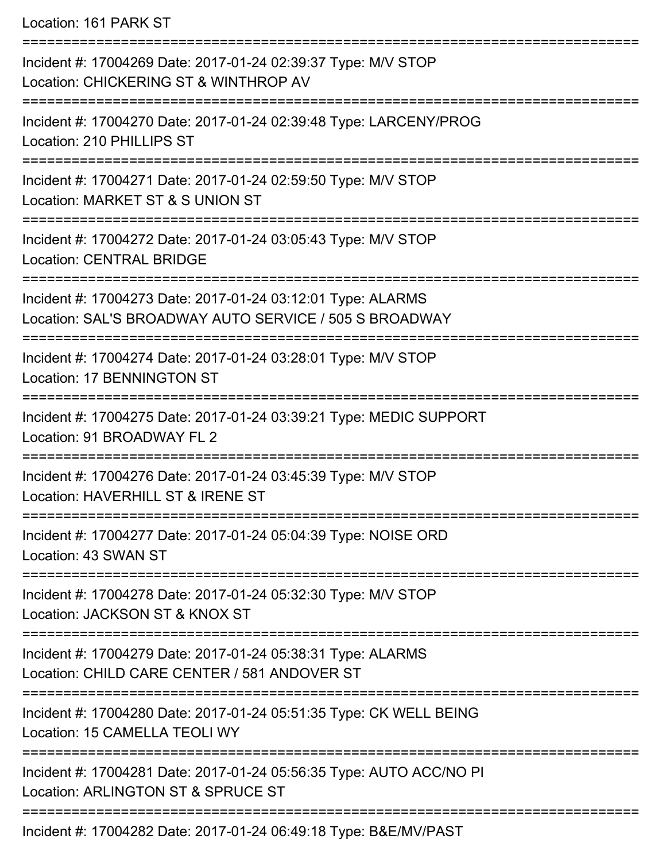Location: 161 PARK ST

=========================================================================== Incident #: 17004269 Date: 2017-01-24 02:39:37 Type: M/V STOP Location: CHICKERING ST & WINTHROP AV =========================================================================== Incident #: 17004270 Date: 2017-01-24 02:39:48 Type: LARCENY/PROG Location: 210 PHILLIPS ST =========================================================================== Incident #: 17004271 Date: 2017-01-24 02:59:50 Type: M/V STOP Location: MARKET ST & S UNION ST =========================================================================== Incident #: 17004272 Date: 2017-01-24 03:05:43 Type: M/V STOP Location: CENTRAL BRIDGE =========================================================================== Incident #: 17004273 Date: 2017-01-24 03:12:01 Type: ALARMS Location: SAL'S BROADWAY AUTO SERVICE / 505 S BROADWAY =========================================================================== Incident #: 17004274 Date: 2017-01-24 03:28:01 Type: M/V STOP Location: 17 BENNINGTON ST =========================================================================== Incident #: 17004275 Date: 2017-01-24 03:39:21 Type: MEDIC SUPPORT Location: 91 BROADWAY FL 2 =========================================================================== Incident #: 17004276 Date: 2017-01-24 03:45:39 Type: M/V STOP Location: HAVERHILL ST & IRENE ST =========================================================================== Incident #: 17004277 Date: 2017-01-24 05:04:39 Type: NOISE ORD Location: 43 SWAN ST =========================================================================== Incident #: 17004278 Date: 2017-01-24 05:32:30 Type: M/V STOP Location: JACKSON ST & KNOX ST =========================================================================== Incident #: 17004279 Date: 2017-01-24 05:38:31 Type: ALARMS Location: CHILD CARE CENTER / 581 ANDOVER ST =========================================================================== Incident #: 17004280 Date: 2017-01-24 05:51:35 Type: CK WELL BEING Location: 15 CAMELLA TEOLI WY =========================================================================== Incident #: 17004281 Date: 2017-01-24 05:56:35 Type: AUTO ACC/NO PI Location: ARLINGTON ST & SPRUCE ST =========================================================================== Incident #: 17004282 Date: 2017-01-24 06:49:18 Type: B&E/MV/PAST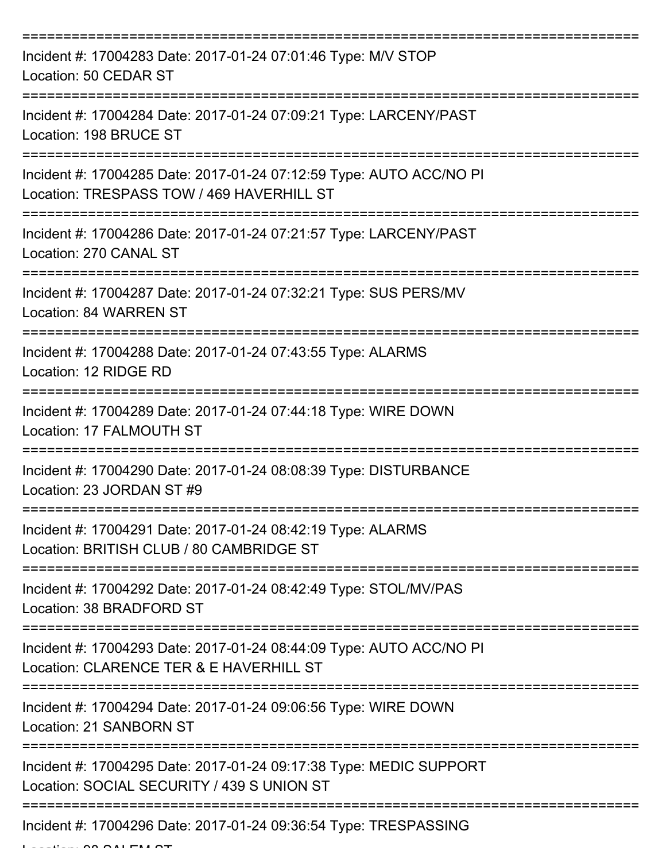| Incident #: 17004283 Date: 2017-01-24 07:01:46 Type: M/V STOP<br>Location: 50 CEDAR ST                           |
|------------------------------------------------------------------------------------------------------------------|
| Incident #: 17004284 Date: 2017-01-24 07:09:21 Type: LARCENY/PAST<br>Location: 198 BRUCE ST                      |
| Incident #: 17004285 Date: 2017-01-24 07:12:59 Type: AUTO ACC/NO PI<br>Location: TRESPASS TOW / 469 HAVERHILL ST |
| Incident #: 17004286 Date: 2017-01-24 07:21:57 Type: LARCENY/PAST<br>Location: 270 CANAL ST                      |
| Incident #: 17004287 Date: 2017-01-24 07:32:21 Type: SUS PERS/MV<br>Location: 84 WARREN ST                       |
| Incident #: 17004288 Date: 2017-01-24 07:43:55 Type: ALARMS<br>Location: 12 RIDGE RD                             |
| Incident #: 17004289 Date: 2017-01-24 07:44:18 Type: WIRE DOWN<br>Location: 17 FALMOUTH ST                       |
| Incident #: 17004290 Date: 2017-01-24 08:08:39 Type: DISTURBANCE<br>Location: 23 JORDAN ST #9                    |
| Incident #: 17004291 Date: 2017-01-24 08:42:19 Type: ALARMS<br>Location: BRITISH CLUB / 80 CAMBRIDGE ST          |
| Incident #: 17004292 Date: 2017-01-24 08:42:49 Type: STOL/MV/PAS<br>Location: 38 BRADFORD ST                     |
| Incident #: 17004293 Date: 2017-01-24 08:44:09 Type: AUTO ACC/NO PI<br>Location: CLARENCE TER & E HAVERHILL ST   |
| Incident #: 17004294 Date: 2017-01-24 09:06:56 Type: WIRE DOWN<br>Location: 21 SANBORN ST                        |
| Incident #: 17004295 Date: 2017-01-24 09:17:38 Type: MEDIC SUPPORT<br>Location: SOCIAL SECURITY / 439 S UNION ST |
| Incident #: 17004296 Date: 2017-01-24 09:36:54 Type: TRESPASSING                                                 |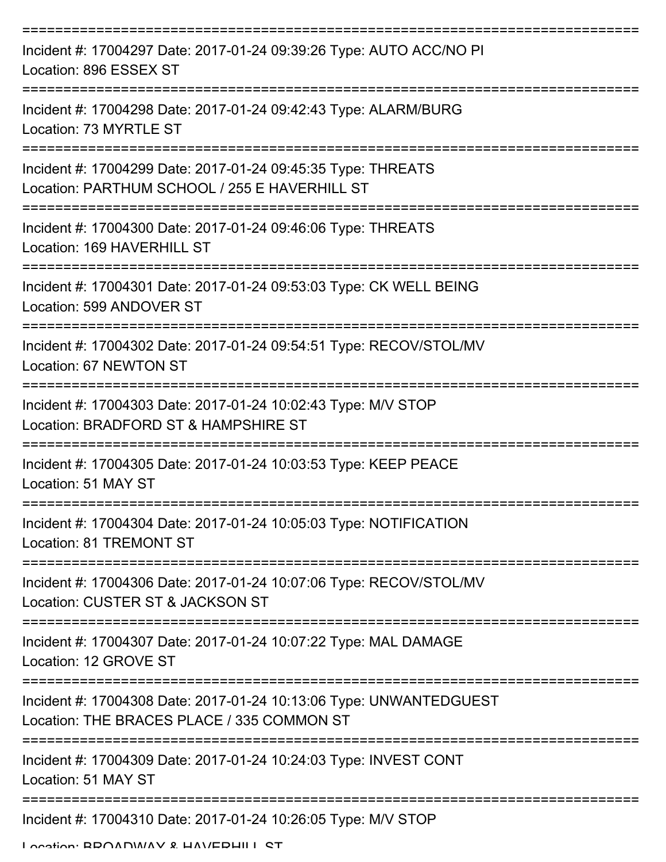| Incident #: 17004297 Date: 2017-01-24 09:39:26 Type: AUTO ACC/NO PI<br>Location: 896 ESSEX ST                    |
|------------------------------------------------------------------------------------------------------------------|
| Incident #: 17004298 Date: 2017-01-24 09:42:43 Type: ALARM/BURG<br>Location: 73 MYRTLE ST                        |
| Incident #: 17004299 Date: 2017-01-24 09:45:35 Type: THREATS<br>Location: PARTHUM SCHOOL / 255 E HAVERHILL ST    |
| Incident #: 17004300 Date: 2017-01-24 09:46:06 Type: THREATS<br>Location: 169 HAVERHILL ST                       |
| Incident #: 17004301 Date: 2017-01-24 09:53:03 Type: CK WELL BEING<br>Location: 599 ANDOVER ST                   |
| Incident #: 17004302 Date: 2017-01-24 09:54:51 Type: RECOV/STOL/MV<br>Location: 67 NEWTON ST                     |
| Incident #: 17004303 Date: 2017-01-24 10:02:43 Type: M/V STOP<br>Location: BRADFORD ST & HAMPSHIRE ST            |
| Incident #: 17004305 Date: 2017-01-24 10:03:53 Type: KEEP PEACE<br>Location: 51 MAY ST                           |
| Incident #: 17004304 Date: 2017-01-24 10:05:03 Type: NOTIFICATION<br>Location: 81 TREMONT ST                     |
| Incident #: 17004306 Date: 2017-01-24 10:07:06 Type: RECOV/STOL/MV<br>Location: CUSTER ST & JACKSON ST           |
| Incident #: 17004307 Date: 2017-01-24 10:07:22 Type: MAL DAMAGE<br>Location: 12 GROVE ST                         |
| Incident #: 17004308 Date: 2017-01-24 10:13:06 Type: UNWANTEDGUEST<br>Location: THE BRACES PLACE / 335 COMMON ST |
| Incident #: 17004309 Date: 2017-01-24 10:24:03 Type: INVEST CONT<br>Location: 51 MAY ST                          |
| Incident #: 17004310 Date: 2017-01-24 10:26:05 Type: M/V STOP                                                    |

Location: BDOADWAV & HAVEDHILL ST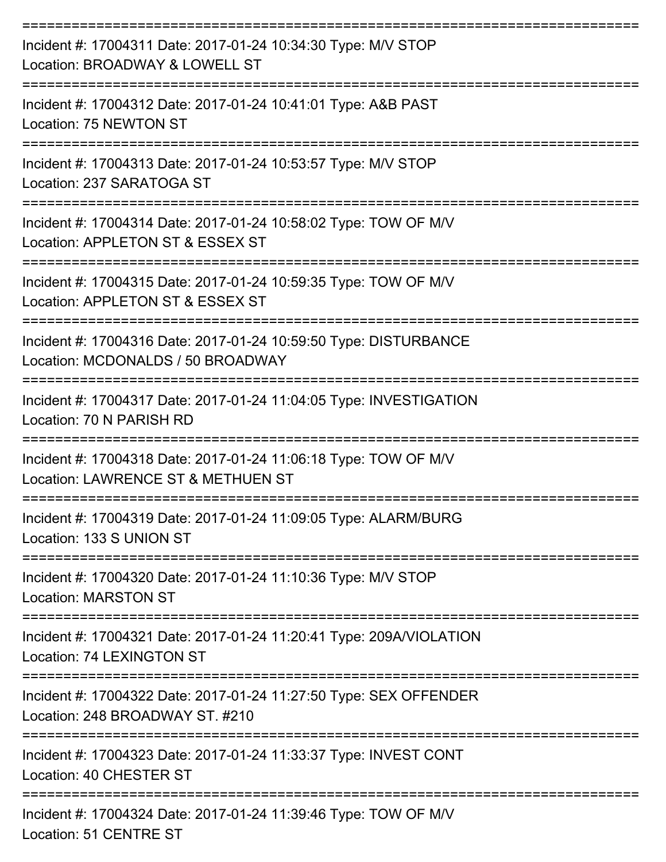| Incident #: 17004311 Date: 2017-01-24 10:34:30 Type: M/V STOP<br>Location: BROADWAY & LOWELL ST                  |
|------------------------------------------------------------------------------------------------------------------|
| Incident #: 17004312 Date: 2017-01-24 10:41:01 Type: A&B PAST<br>Location: 75 NEWTON ST                          |
| Incident #: 17004313 Date: 2017-01-24 10:53:57 Type: M/V STOP<br>Location: 237 SARATOGA ST                       |
| Incident #: 17004314 Date: 2017-01-24 10:58:02 Type: TOW OF M/V<br>Location: APPLETON ST & ESSEX ST              |
| Incident #: 17004315 Date: 2017-01-24 10:59:35 Type: TOW OF M/V<br>Location: APPLETON ST & ESSEX ST              |
| Incident #: 17004316 Date: 2017-01-24 10:59:50 Type: DISTURBANCE<br>Location: MCDONALDS / 50 BROADWAY            |
| Incident #: 17004317 Date: 2017-01-24 11:04:05 Type: INVESTIGATION<br>Location: 70 N PARISH RD                   |
| Incident #: 17004318 Date: 2017-01-24 11:06:18 Type: TOW OF M/V<br>Location: LAWRENCE ST & METHUEN ST            |
| Incident #: 17004319 Date: 2017-01-24 11:09:05 Type: ALARM/BURG<br>Location: 133 S UNION ST                      |
| ----------------<br>Incident #: 17004320 Date: 2017-01-24 11:10:36 Type: M/V STOP<br><b>Location: MARSTON ST</b> |
| Incident #: 17004321 Date: 2017-01-24 11:20:41 Type: 209A/VIOLATION<br>Location: 74 LEXINGTON ST                 |
| Incident #: 17004322 Date: 2017-01-24 11:27:50 Type: SEX OFFENDER<br>Location: 248 BROADWAY ST. #210             |
| Incident #: 17004323 Date: 2017-01-24 11:33:37 Type: INVEST CONT<br>Location: 40 CHESTER ST                      |
| Incident #: 17004324 Date: 2017-01-24 11:39:46 Type: TOW OF M/V<br>Location: 51 CENTRE ST                        |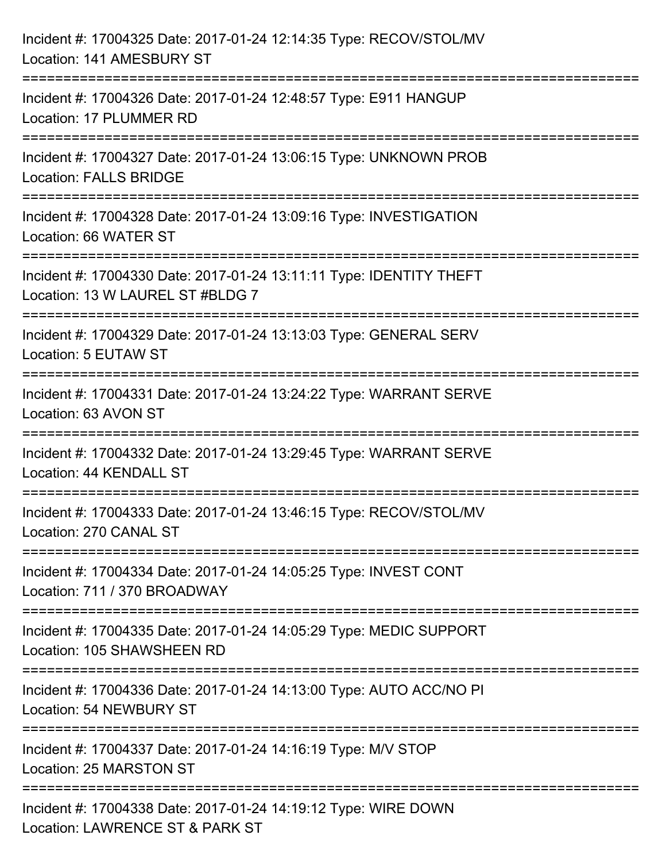| Incident #: 17004325 Date: 2017-01-24 12:14:35 Type: RECOV/STOL/MV<br>Location: 141 AMESBURY ST                                |
|--------------------------------------------------------------------------------------------------------------------------------|
| -------------------------------<br>Incident #: 17004326 Date: 2017-01-24 12:48:57 Type: E911 HANGUP<br>Location: 17 PLUMMER RD |
| Incident #: 17004327 Date: 2017-01-24 13:06:15 Type: UNKNOWN PROB<br><b>Location: FALLS BRIDGE</b>                             |
| Incident #: 17004328 Date: 2017-01-24 13:09:16 Type: INVESTIGATION<br>Location: 66 WATER ST                                    |
| Incident #: 17004330 Date: 2017-01-24 13:11:11 Type: IDENTITY THEFT<br>Location: 13 W LAUREL ST #BLDG 7                        |
| Incident #: 17004329 Date: 2017-01-24 13:13:03 Type: GENERAL SERV<br>Location: 5 EUTAW ST                                      |
| Incident #: 17004331 Date: 2017-01-24 13:24:22 Type: WARRANT SERVE<br>Location: 63 AVON ST                                     |
| Incident #: 17004332 Date: 2017-01-24 13:29:45 Type: WARRANT SERVE<br>Location: 44 KENDALL ST                                  |
| Incident #: 17004333 Date: 2017-01-24 13:46:15 Type: RECOV/STOL/MV<br>Location: 270 CANAL ST                                   |
| Incident #: 17004334 Date: 2017-01-24 14:05:25 Type: INVEST CONT<br>Location: 711 / 370 BROADWAY                               |
| Incident #: 17004335 Date: 2017-01-24 14:05:29 Type: MEDIC SUPPORT<br>Location: 105 SHAWSHEEN RD                               |
| Incident #: 17004336 Date: 2017-01-24 14:13:00 Type: AUTO ACC/NO PI<br>Location: 54 NEWBURY ST                                 |
| Incident #: 17004337 Date: 2017-01-24 14:16:19 Type: M/V STOP<br>Location: 25 MARSTON ST                                       |
| Incident #: 17004338 Date: 2017-01-24 14:19:12 Type: WIRE DOWN<br>Location: LAWRENCE ST & PARK ST                              |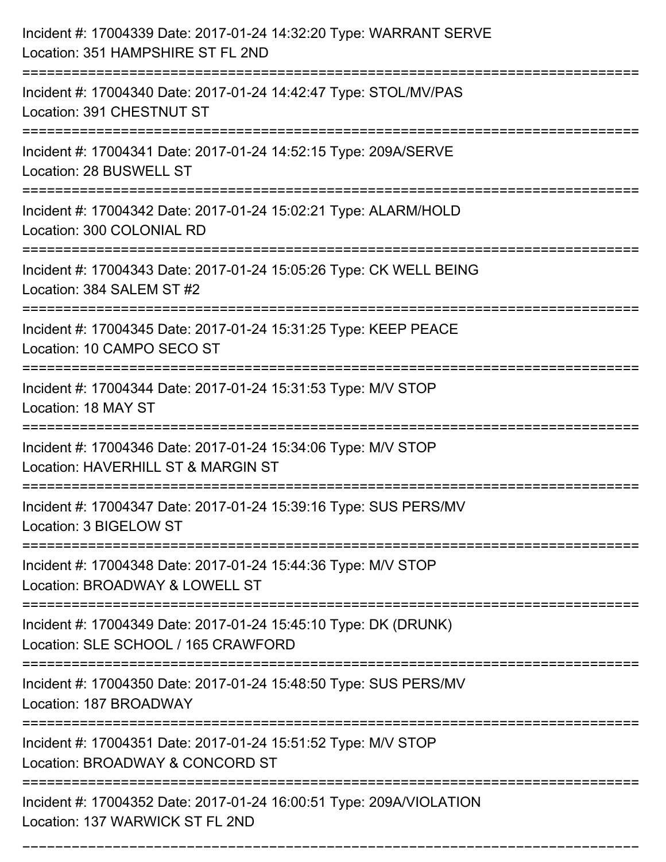| Incident #: 17004339 Date: 2017-01-24 14:32:20 Type: WARRANT SERVE<br>Location: 351 HAMPSHIRE ST FL 2ND                           |
|-----------------------------------------------------------------------------------------------------------------------------------|
| Incident #: 17004340 Date: 2017-01-24 14:42:47 Type: STOL/MV/PAS<br>Location: 391 CHESTNUT ST                                     |
| Incident #: 17004341 Date: 2017-01-24 14:52:15 Type: 209A/SERVE<br>Location: 28 BUSWELL ST                                        |
| Incident #: 17004342 Date: 2017-01-24 15:02:21 Type: ALARM/HOLD<br>Location: 300 COLONIAL RD                                      |
| Incident #: 17004343 Date: 2017-01-24 15:05:26 Type: CK WELL BEING<br>Location: 384 SALEM ST #2                                   |
| Incident #: 17004345 Date: 2017-01-24 15:31:25 Type: KEEP PEACE<br>Location: 10 CAMPO SECO ST                                     |
| Incident #: 17004344 Date: 2017-01-24 15:31:53 Type: M/V STOP<br>Location: 18 MAY ST                                              |
| Incident #: 17004346 Date: 2017-01-24 15:34:06 Type: M/V STOP<br>Location: HAVERHILL ST & MARGIN ST                               |
| Incident #: 17004347 Date: 2017-01-24 15:39:16 Type: SUS PERS/MV<br>Location: 3 BIGELOW ST                                        |
| Incident #: 17004348 Date: 2017-01-24 15:44:36 Type: M/V STOP<br>Location: BROADWAY & LOWELL ST                                   |
| Incident #: 17004349 Date: 2017-01-24 15:45:10 Type: DK (DRUNK)<br>Location: SLE SCHOOL / 165 CRAWFORD                            |
| Incident #: 17004350 Date: 2017-01-24 15:48:50 Type: SUS PERS/MV<br>Location: 187 BROADWAY<br>:================================== |
| Incident #: 17004351 Date: 2017-01-24 15:51:52 Type: M/V STOP<br>Location: BROADWAY & CONCORD ST                                  |
| Incident #: 17004352 Date: 2017-01-24 16:00:51 Type: 209A/VIOLATION<br>Location: 137 WARWICK ST FL 2ND                            |

===========================================================================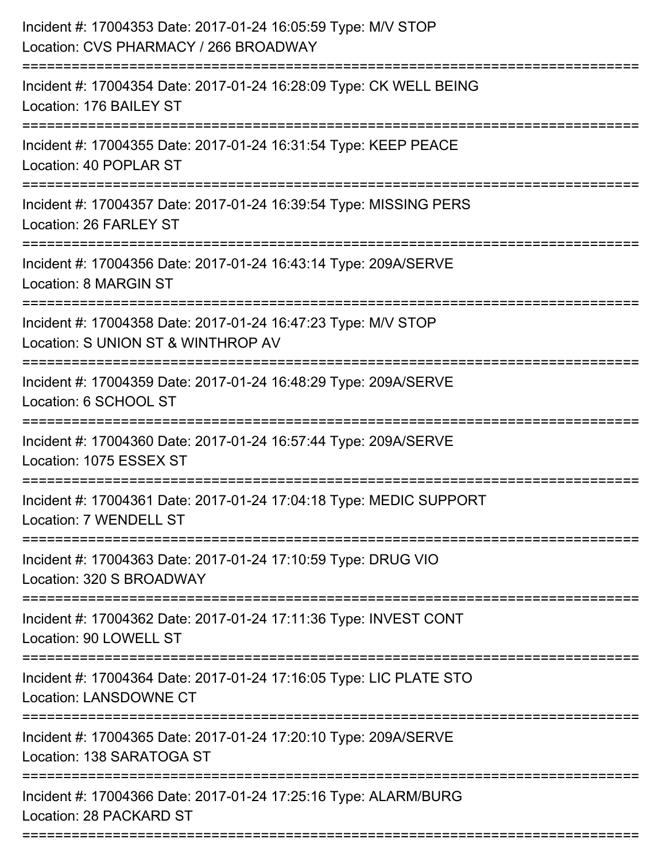| Incident #: 17004353 Date: 2017-01-24 16:05:59 Type: M/V STOP<br>Location: CVS PHARMACY / 266 BROADWAY                         |
|--------------------------------------------------------------------------------------------------------------------------------|
| Incident #: 17004354 Date: 2017-01-24 16:28:09 Type: CK WELL BEING<br>Location: 176 BAILEY ST                                  |
| Incident #: 17004355 Date: 2017-01-24 16:31:54 Type: KEEP PEACE<br>Location: 40 POPLAR ST                                      |
| Incident #: 17004357 Date: 2017-01-24 16:39:54 Type: MISSING PERS<br>Location: 26 FARLEY ST                                    |
| Incident #: 17004356 Date: 2017-01-24 16:43:14 Type: 209A/SERVE<br>Location: 8 MARGIN ST                                       |
| Incident #: 17004358 Date: 2017-01-24 16:47:23 Type: M/V STOP<br>Location: S UNION ST & WINTHROP AV                            |
| Incident #: 17004359 Date: 2017-01-24 16:48:29 Type: 209A/SERVE<br>Location: 6 SCHOOL ST                                       |
| Incident #: 17004360 Date: 2017-01-24 16:57:44 Type: 209A/SERVE<br>Location: 1075 ESSEX ST                                     |
| Incident #: 17004361 Date: 2017-01-24 17:04:18 Type: MEDIC SUPPORT<br>Location: 7 WENDELL ST                                   |
| Incident #: 17004363 Date: 2017-01-24 17:10:59 Type: DRUG VIO<br>Location: 320 S BROADWAY                                      |
| Incident #: 17004362 Date: 2017-01-24 17:11:36 Type: INVEST CONT<br>Location: 90 LOWELL ST                                     |
| Incident #: 17004364 Date: 2017-01-24 17:16:05 Type: LIC PLATE STO<br><b>Location: LANSDOWNE CT</b>                            |
| ==============================<br>Incident #: 17004365 Date: 2017-01-24 17:20:10 Type: 209A/SERVE<br>Location: 138 SARATOGA ST |
| Incident #: 17004366 Date: 2017-01-24 17:25:16 Type: ALARM/BURG<br>Location: 28 PACKARD ST                                     |
|                                                                                                                                |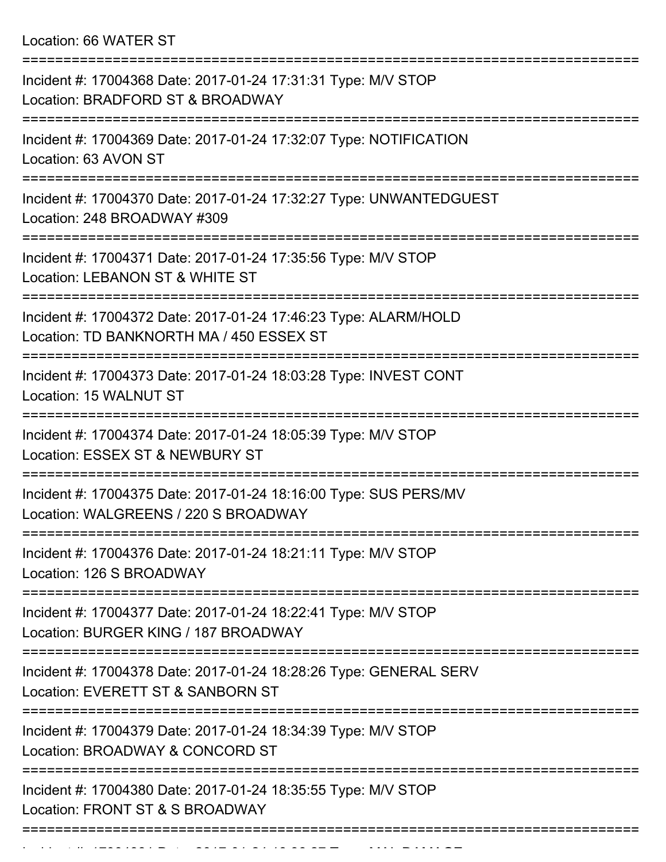| Incident #: 17004368 Date: 2017-01-24 17:31:31 Type: M/V STOP<br>Location: BRADFORD ST & BROADWAY           |
|-------------------------------------------------------------------------------------------------------------|
| Incident #: 17004369 Date: 2017-01-24 17:32:07 Type: NOTIFICATION<br>Location: 63 AVON ST                   |
| Incident #: 17004370 Date: 2017-01-24 17:32:27 Type: UNWANTEDGUEST<br>Location: 248 BROADWAY #309           |
| Incident #: 17004371 Date: 2017-01-24 17:35:56 Type: M/V STOP<br>Location: LEBANON ST & WHITE ST            |
| Incident #: 17004372 Date: 2017-01-24 17:46:23 Type: ALARM/HOLD<br>Location: TD BANKNORTH MA / 450 ESSEX ST |
| Incident #: 17004373 Date: 2017-01-24 18:03:28 Type: INVEST CONT<br>Location: 15 WALNUT ST                  |
| Incident #: 17004374 Date: 2017-01-24 18:05:39 Type: M/V STOP<br>Location: ESSEX ST & NEWBURY ST            |
| Incident #: 17004375 Date: 2017-01-24 18:16:00 Type: SUS PERS/MV<br>Location: WALGREENS / 220 S BROADWAY    |
| Incident #: 17004376 Date: 2017-01-24 18:21:11 Type: M/V STOP<br>Location: 126 S BROADWAY                   |
| Incident #: 17004377 Date: 2017-01-24 18:22:41 Type: M/V STOP<br>Location: BURGER KING / 187 BROADWAY       |
| Incident #: 17004378 Date: 2017-01-24 18:28:26 Type: GENERAL SERV<br>Location: EVERETT ST & SANBORN ST      |
| Incident #: 17004379 Date: 2017-01-24 18:34:39 Type: M/V STOP<br>Location: BROADWAY & CONCORD ST            |
| Incident #: 17004380 Date: 2017-01-24 18:35:55 Type: M/V STOP<br>Location: FRONT ST & S BROADWAY            |
|                                                                                                             |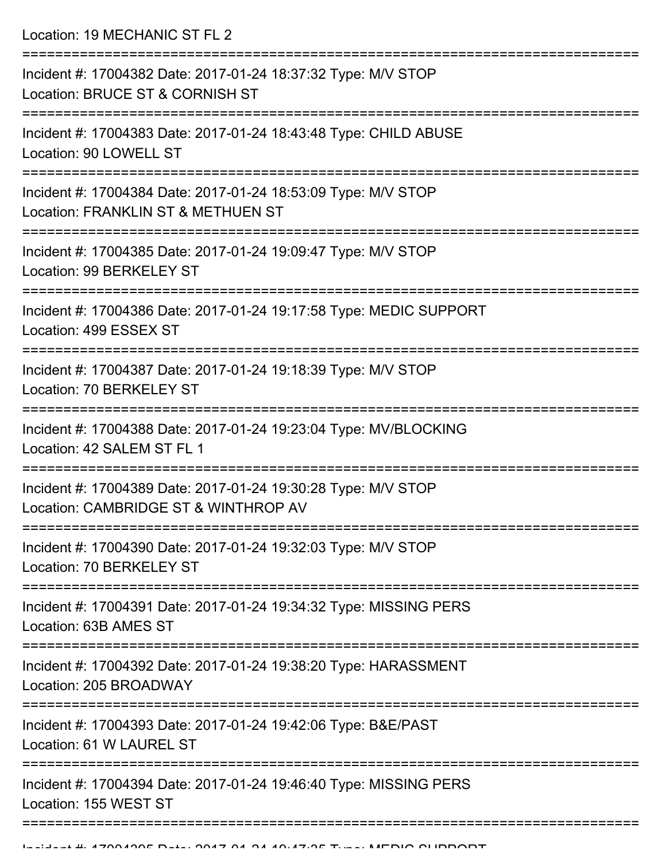Location: 19 MECHANIC ST FL 2

| Incident #: 17004382 Date: 2017-01-24 18:37:32 Type: M/V STOP<br>Location: BRUCE ST & CORNISH ST      |
|-------------------------------------------------------------------------------------------------------|
| Incident #: 17004383 Date: 2017-01-24 18:43:48 Type: CHILD ABUSE<br>Location: 90 LOWELL ST            |
| Incident #: 17004384 Date: 2017-01-24 18:53:09 Type: M/V STOP<br>Location: FRANKLIN ST & METHUEN ST   |
| Incident #: 17004385 Date: 2017-01-24 19:09:47 Type: M/V STOP<br>Location: 99 BERKELEY ST             |
| Incident #: 17004386 Date: 2017-01-24 19:17:58 Type: MEDIC SUPPORT<br>Location: 499 ESSEX ST          |
| Incident #: 17004387 Date: 2017-01-24 19:18:39 Type: M/V STOP<br>Location: 70 BERKELEY ST             |
| Incident #: 17004388 Date: 2017-01-24 19:23:04 Type: MV/BLOCKING<br>Location: 42 SALEM ST FL 1        |
| Incident #: 17004389 Date: 2017-01-24 19:30:28 Type: M/V STOP<br>Location: CAMBRIDGE ST & WINTHROP AV |
| Incident #: 17004390 Date: 2017-01-24 19:32:03 Type: M/V STOP<br>Location: 70 BERKELEY ST             |
| Incident #: 17004391 Date: 2017-01-24 19:34:32 Type: MISSING PERS<br>Location: 63B AMES ST            |
| Incident #: 17004392 Date: 2017-01-24 19:38:20 Type: HARASSMENT<br>Location: 205 BROADWAY             |
| Incident #: 17004393 Date: 2017-01-24 19:42:06 Type: B&E/PAST<br>Location: 61 W LAUREL ST             |
| Incident #: 17004394 Date: 2017-01-24 19:46:40 Type: MISSING PERS<br>Location: 155 WEST ST            |
|                                                                                                       |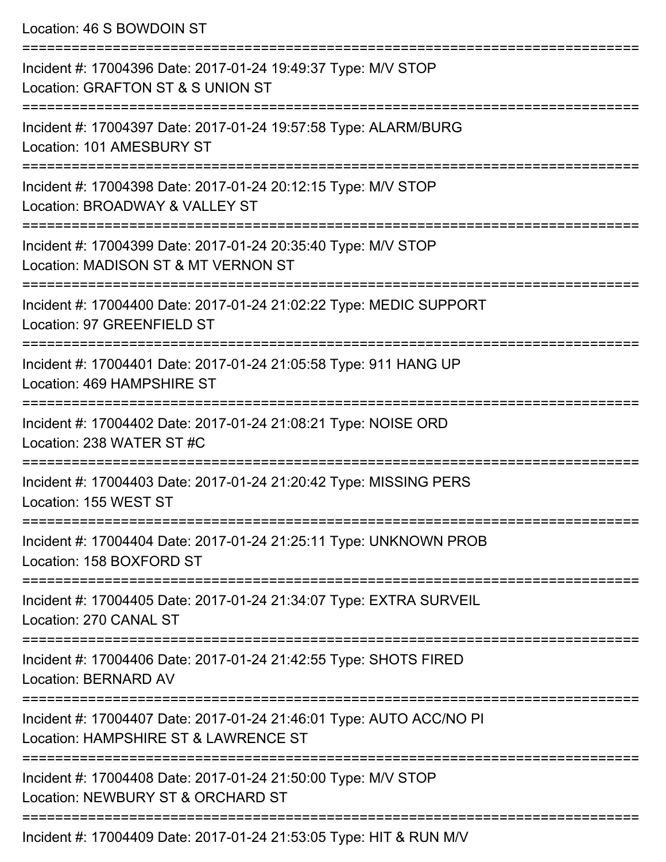Location: 46 S BOWDOIN ST

| Incident #: 17004396 Date: 2017-01-24 19:49:37 Type: M/V STOP<br>Location: GRAFTON ST & S UNION ST                                     |
|----------------------------------------------------------------------------------------------------------------------------------------|
| Incident #: 17004397 Date: 2017-01-24 19:57:58 Type: ALARM/BURG<br>Location: 101 AMESBURY ST                                           |
| Incident #: 17004398 Date: 2017-01-24 20:12:15 Type: M/V STOP<br>Location: BROADWAY & VALLEY ST                                        |
| Incident #: 17004399 Date: 2017-01-24 20:35:40 Type: M/V STOP<br>Location: MADISON ST & MT VERNON ST                                   |
| Incident #: 17004400 Date: 2017-01-24 21:02:22 Type: MEDIC SUPPORT<br>Location: 97 GREENFIELD ST                                       |
| Incident #: 17004401 Date: 2017-01-24 21:05:58 Type: 911 HANG UP<br>Location: 469 HAMPSHIRE ST                                         |
| Incident #: 17004402 Date: 2017-01-24 21:08:21 Type: NOISE ORD<br>Location: 238 WATER ST #C                                            |
| Incident #: 17004403 Date: 2017-01-24 21:20:42 Type: MISSING PERS<br>Location: 155 WEST ST                                             |
| Incident #: 17004404 Date: 2017-01-24 21:25:11 Type: UNKNOWN PROB<br>Location: 158 BOXFORD ST                                          |
| ======================================<br>Incident #: 17004405 Date: 2017-01-24 21:34:07 Type: EXTRA SURVEIL<br>Location: 270 CANAL ST |
| Incident #: 17004406 Date: 2017-01-24 21:42:55 Type: SHOTS FIRED<br>Location: BERNARD AV                                               |
| Incident #: 17004407 Date: 2017-01-24 21:46:01 Type: AUTO ACC/NO PI<br>Location: HAMPSHIRE ST & LAWRENCE ST                            |
| Incident #: 17004408 Date: 2017-01-24 21:50:00 Type: M/V STOP<br>Location: NEWBURY ST & ORCHARD ST                                     |
| Incident #: 17004400 Dete: 2017 01 24 21:52:05 Type: HIT & DUN MAI                                                                     |

Incident #: 17004409 Date: 2017-01-24 21:53:05 Type: HIT & RUN M/V